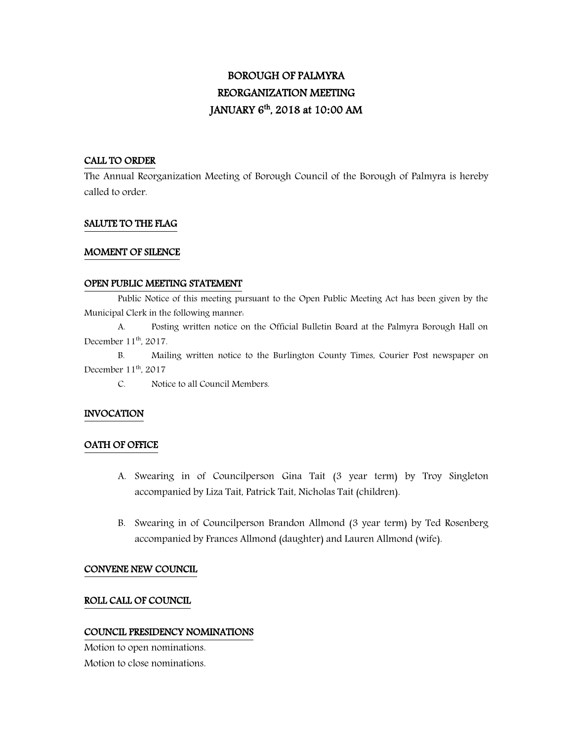# BOROUGH OF PALMYRA REORGANIZATION MEETING JANUARY 6 th, 2018 at 10**:**00 AM

#### CALL TO ORDER

The Annual Reorganization Meeting of Borough Council of the Borough of Palmyra is hereby called to order.

#### SALUTE TO THE FLAG

#### MOMENT OF SILENCE

#### OPEN PUBLIC MEETING STATEMENT

 Public Notice of this meeting pursuant to the Open Public Meeting Act has been given by the Municipal Clerk in the following manner:

A. Posting written notice on the Official Bulletin Board at the Palmyra Borough Hall on December 11<sup>th</sup>, 2017.

B. Mailing written notice to the Burlington County Times, Courier Post newspaper on December 11<sup>th</sup>, 2017

C. Notice to all Council Members.

#### INVOCATION

#### OATH OF OFFICE

- A. Swearing in of Councilperson Gina Tait (3 year term) by Troy Singleton accompanied by Liza Tait, Patrick Tait, Nicholas Tait (children).
- B. Swearing in of Councilperson Brandon Allmond (3 year term) by Ted Rosenberg accompanied by Frances Allmond (daughter) and Lauren Allmond (wife).

#### CONVENE NEW COUNCIL

#### ROLL CALL OF COUNCIL

#### COUNCIL PRESIDENCY NOMINATIONS

Motion to open nominations. Motion to close nominations.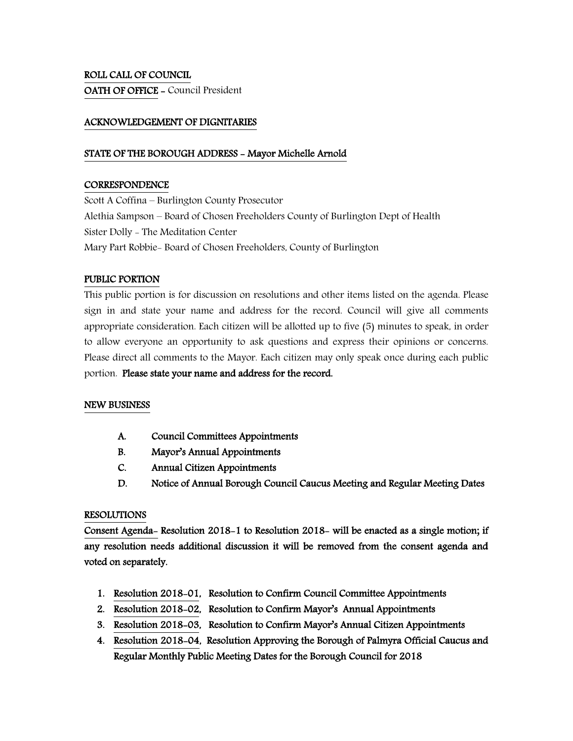# ROLL CALL OF COUNCIL OATH OF OFFICE - Council President

# ACKNOWLEDGEMENT OF DIGNITARIES

# STATE OF THE BOROUGH ADDRESS - Mayor Michelle Arnold

#### **CORRESPONDENCE**

Scott A Coffina – Burlington County Prosecutor Alethia Sampson – Board of Chosen Freeholders County of Burlington Dept of Health Sister Dolly - The Meditation Center Mary Part Robbie- Board of Chosen Freeholders, County of Burlington

# PUBLIC PORTION

This public portion is for discussion on resolutions and other items listed on the agenda. Please sign in and state your name and address for the record. Council will give all comments appropriate consideration. Each citizen will be allotted up to five (5) minutes to speak, in order to allow everyone an opportunity to ask questions and express their opinions or concerns. Please direct all comments to the Mayor. Each citizen may only speak once during each public portion. Please state your name and address for the record.

#### NEW BUSINESS

- A. Council Committees Appointments
- B. Mayor's Annual Appointments
- C. Annual Citizen Appointments
- D. Notice of Annual Borough Council Caucus Meeting and Regular Meeting Dates

#### RESOLUTIONS

Consent Agenda- Resolution 2018-1 to Resolution 2018- will be enacted as a single motion; if any resolution needs additional discussion it will be removed from the consent agenda and voted on separately.

- 1. Resolution 2018-01, Resolution to Confirm Council Committee Appointments
- 2. Resolution 2018-02, Resolution to Confirm Mayor's Annual Appointments
- 3. Resolution 2018-03, Resolution to Confirm Mayor's Annual Citizen Appointments
- 4. Resolution 2018-04, Resolution Approving the Borough of Palmyra Official Caucus and Regular Monthly Public Meeting Dates for the Borough Council for 2018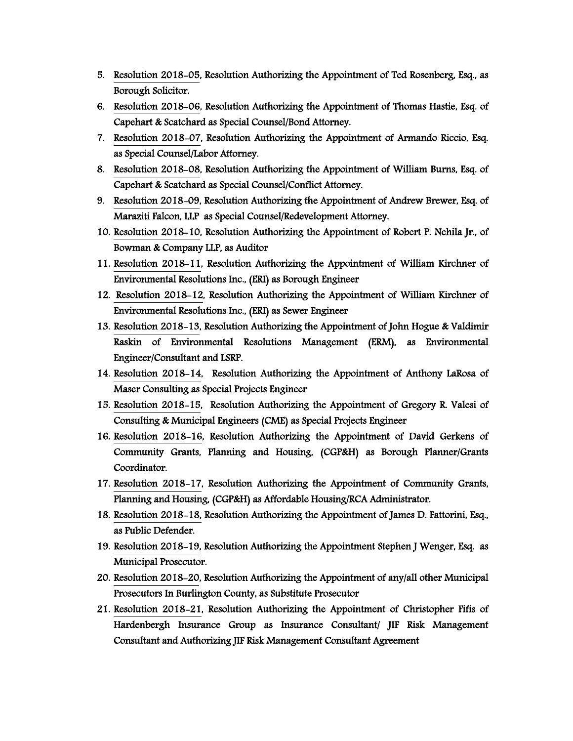- 5. Resolution 2018-05, Resolution Authorizing the Appointment of Ted Rosenberg, Esq., as Borough Solicitor.
- 6. Resolution 2018-06, Resolution Authorizing the Appointment of Thomas Hastie, Esq. of Capehart & Scatchard as Special Counsel/Bond Attorney.
- 7. Resolution 2018-07, Resolution Authorizing the Appointment of Armando Riccio, Esq. as Special Counsel/Labor Attorney.
- 8. Resolution 2018-08, Resolution Authorizing the Appointment of William Burns, Esq. of Capehart & Scatchard as Special Counsel/Conflict Attorney.
- 9. Resolution 2018-09, Resolution Authorizing the Appointment of Andrew Brewer, Esq. of Maraziti Falcon, LLP as Special Counsel/Redevelopment Attorney.
- 10. Resolution 2018-10, Resolution Authorizing the Appointment of Robert P. Nehila Jr., of Bowman & Company LLP, as Auditor
- 11. Resolution 2018-11, Resolution Authorizing the Appointment of William Kirchner of Environmental Resolutions Inc., (ERI) as Borough Engineer
- 12. Resolution 2018-12, Resolution Authorizing the Appointment of William Kirchner of Environmental Resolutions Inc., (ERI) as Sewer Engineer
- 13. Resolution 2018-13, Resolution Authorizing the Appointment of John Hogue & Valdimir Raskin of Environmental Resolutions Management (ERM), as Environmental Engineer/Consultant and LSRP.
- 14. Resolution 2018-14, Resolution Authorizing the Appointment of Anthony LaRosa of Maser Consulting as Special Projects Engineer
- 15. Resolution 2018-15, Resolution Authorizing the Appointment of Gregory R. Valesi of Consulting & Municipal Engineers (CME) as Special Projects Engineer
- 16. Resolution 2018-16, Resolution Authorizing the Appointment of David Gerkens of Community Grants, Planning and Housing, (CGP&H) as Borough Planner/Grants Coordinator.
- 17. Resolution 2018-17, Resolution Authorizing the Appointment of Community Grants, Planning and Housing, (CGP&H) as Affordable Housing/RCA Administrator.
- 18. Resolution 2018-18, Resolution Authorizing the Appointment of James D. Fattorini, Esq., as Public Defender.
- 19. Resolution 2018-19, Resolution Authorizing the Appointment Stephen J Wenger, Esq. as Municipal Prosecutor.
- 20. Resolution 2018-20, Resolution Authorizing the Appointment of any/all other Municipal Prosecutors In Burlington County, as Substitute Prosecutor
- 21. Resolution 2018-21, Resolution Authorizing the Appointment of Christopher Fifis of Hardenbergh Insurance Group as Insurance Consultant/ JIF Risk Management Consultant and Authorizing JIF Risk Management Consultant Agreement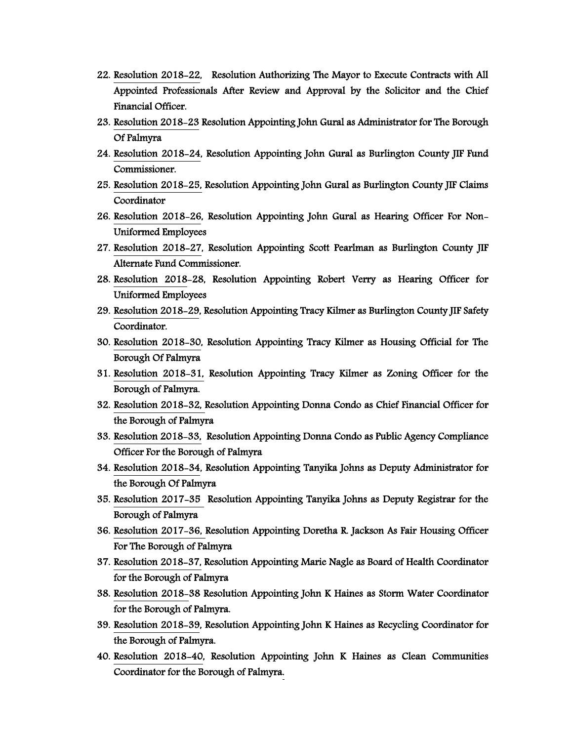- 22. Resolution 2018-22, Resolution Authorizing The Mayor to Execute Contracts with All Appointed Professionals After Review and Approval by the Solicitor and the Chief Financial Officer.
- 23. Resolution 2018-23 Resolution Appointing John Gural as Administrator for The Borough Of Palmyra
- 24. Resolution 2018-24, Resolution Appointing John Gural as Burlington County JIF Fund Commissioner.
- 25. Resolution 2018-25, Resolution Appointing John Gural as Burlington County JIF Claims Coordinator
- 26. Resolution 2018-26, Resolution Appointing John Gural as Hearing Officer For Non-Uniformed Employees
- 27. Resolution 2018-27, Resolution Appointing Scott Pearlman as Burlington County JIF Alternate Fund Commissioner.
- 28. Resolution 2018-28, Resolution Appointing Robert Verry as Hearing Officer for Uniformed Employees
- 29. Resolution 2018-29, Resolution Appointing Tracy Kilmer as Burlington County JIF Safety Coordinator.
- 30. Resolution 2018-30, Resolution Appointing Tracy Kilmer as Housing Official for The Borough Of Palmyra
- 31. Resolution 2018-31, Resolution Appointing Tracy Kilmer as Zoning Officer for the Borough of Palmyra.
- 32. Resolution 2018-32, Resolution Appointing Donna Condo as Chief Financial Officer for the Borough of Palmyra
- 33. Resolution 2018-33, Resolution Appointing Donna Condo as Public Agency Compliance Officer For the Borough of Palmyra
- 34. Resolution 2018-34, Resolution Appointing Tanyika Johns as Deputy Administrator for the Borough Of Palmyra
- 35. Resolution 2017-35 Resolution Appointing Tanyika Johns as Deputy Registrar for the Borough of Palmyra
- 36. Resolution 2017-36, Resolution Appointing Doretha R. Jackson As Fair Housing Officer For The Borough of Palmyra
- 37. Resolution 2018-37, Resolution Appointing Marie Nagle as Board of Health Coordinator for the Borough of Palmyra
- 38. Resolution 2018-38 Resolution Appointing John K Haines as Storm Water Coordinator for the Borough of Palmyra.
- 39. Resolution 2018-39, Resolution Appointing John K Haines as Recycling Coordinator for the Borough of Palmyra.
- 40. Resolution 2018-40, Resolution Appointing John K Haines as Clean Communities Coordinator for the Borough of Palmyra.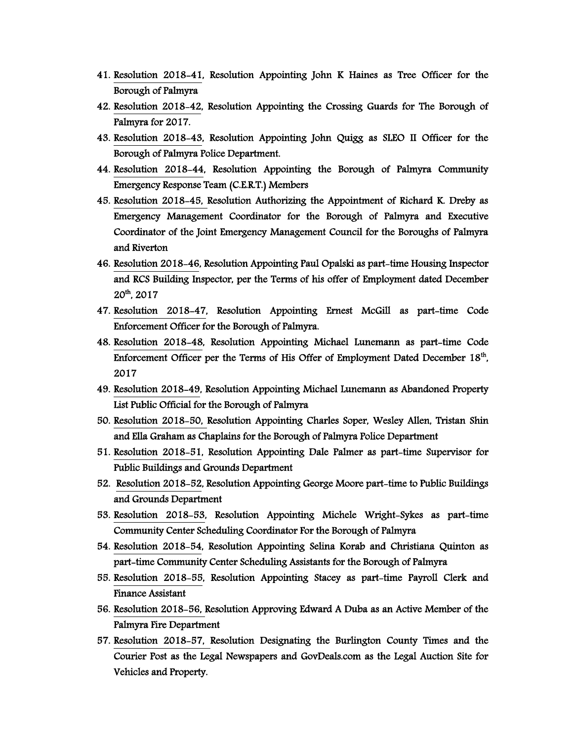- 41. Resolution 2018-41, Resolution Appointing John K Haines as Tree Officer for the Borough of Palmyra
- 42. Resolution 2018-42, Resolution Appointing the Crossing Guards for The Borough of Palmyra for 2017.
- 43. Resolution 2018-43, Resolution Appointing John Quigg as SLEO II Officer for the Borough of Palmyra Police Department.
- 44. Resolution 2018-44, Resolution Appointing the Borough of Palmyra Community Emergency Response Team (C.E.R.T.) Members
- 45. Resolution 2018-45, Resolution Authorizing the Appointment of Richard K. Dreby as Emergency Management Coordinator for the Borough of Palmyra and Executive Coordinator of the Joint Emergency Management Council for the Boroughs of Palmyra and Riverton
- 46. Resolution 2018-46, Resolution Appointing Paul Opalski as part-time Housing Inspector and RCS Building Inspector, per the Terms of his offer of Employment dated December 20th, 2017
- 47. Resolution 2018-47, Resolution Appointing Ernest McGill as part-time Code Enforcement Officer for the Borough of Palmyra.
- 48. Resolution 2018-48, Resolution Appointing Michael Lunemann as part-time Code Enforcement Officer per the Terms of His Offer of Employment Dated December 18<sup>th</sup>, 2017
- 49. Resolution 2018-49, Resolution Appointing Michael Lunemann as Abandoned Property List Public Official for the Borough of Palmyra
- 50. Resolution 2018-50, Resolution Appointing Charles Soper, Wesley Allen, Tristan Shin and Ella Graham as Chaplains for the Borough of Palmyra Police Department
- 51. Resolution 2018-51, Resolution Appointing Dale Palmer as part-time Supervisor for Public Buildings and Grounds Department
- 52. Resolution 2018-52, Resolution Appointing George Moore part-time to Public Buildings and Grounds Department
- 53. Resolution 2018-53, Resolution Appointing Michele Wright-Sykes as part-time Community Center Scheduling Coordinator For the Borough of Palmyra
- 54. Resolution 2018-54, Resolution Appointing Selina Korab and Christiana Quinton as part-time Community Center Scheduling Assistants for the Borough of Palmyra
- 55. Resolution 2018-55, Resolution Appointing Stacey as part-time Payroll Clerk and Finance Assistant
- 56. Resolution 2018-56, Resolution Approving Edward A Duba as an Active Member of the Palmyra Fire Department
- 57. Resolution 2018-57, Resolution Designating the Burlington County Times and the Courier Post as the Legal Newspapers and GovDeals.com as the Legal Auction Site for Vehicles and Property.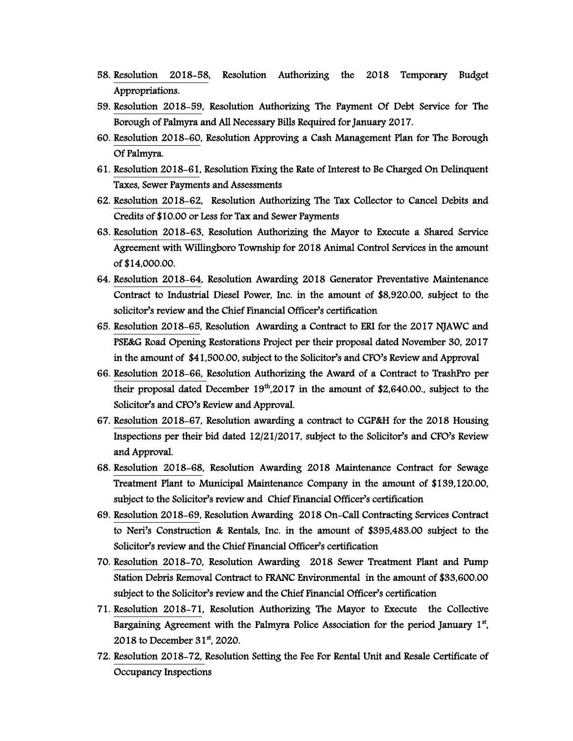- 58. Resolution 2018-58, Resolution Authorizing the 2018 Temporary Budget Appropriations.
- 59. Resolution 2018-59, Resolution Authorizing The Payment Of Debt Service for The Borough of Palmyra and All Necessary Bills Required for January 2017.
- 60. Resolution 2018-60, Resolution Approving a Cash Management Plan for The Borough Of Palmyra.
- 61. Resolution 2018-61, Resolution Fixing the Rate of Interest to Be Charged On Delinquent Taxes, Sewer Payments and Assessments
- 62. Resolution 2018-62, Resolution Authorizing The Tax Collector to Cancel Debits and Credits of \$10.00 or Less for Tax and Sewer Payments
- 63. Resolution 2018-63, Resolution Authorizing the Mayor to Execute a Shared Service Agreement with Willingboro Township for 2018 Animal Control Services in the amount of \$14,000.00.
- 64. Resolution 2018-64, Resolution Awarding 2018 Generator Preventative Maintenance Contract to Industrial Diesel Power, Inc. in the amount of \$8,920.00, subject to the solicitor's review and the Chief Financial Officer's certification
- 65. Resolution 2018-65, Resolution Awarding a Contract to ERI for the 2017 NJAWC and PSE&G Road Opening Restorations Project per their proposal dated November 30, 2017 in the amount of \$41,500.00, subject to the Solicitor's and CFO's Review and Approval
- 66. Resolution 2018-66, Resolution Authorizing the Award of a Contract to TrashPro per their proposal dated December  $19<sup>th</sup>$ ,2017 in the amount of \$2,640.00., subject to the Solicitor's and CFO's Review and Approval.
- 67. Resolution 2018-67, Resolution awarding a contract to CGP&H for the 2018 Housing Inspections per their bid dated 12/21/2017, subject to the Solicitor's and CFO's Review and Approval.
- 68. Resolution 2018-68, Resolution Awarding 2018 Maintenance Contract for Sewage Treatment Plant to Municipal Maintenance Company in the amount of \$139,120.00, subject to the Solicitor's review and Chief Financial Officer's certification
- 69. Resolution 2018-69, Resolution Awarding 2018 On-Call Contracting Services Contract to Neri's Construction & Rentals, Inc. in the amount of \$395,483.00 subject to the Solicitor's review and the Chief Financial Officer's certification
- 70. Resolution 2018-70, Resolution Awarding 2018 Sewer Treatment Plant and Pump Station Debris Removal Contract to FRANC Environmental in the amount of \$33,600.00 subject to the Solicitor's review and the Chief Financial Officer's certification
- 71. Resolution 2018-71, Resolution Authorizing The Mayor to Execute the Collective Bargaining Agreement with the Palmyra Police Association for the period January 1<sup>st</sup>, 2018 to December 31<sup>st</sup>, 2020.
- 72. Resolution 2018-72, Resolution Setting the Fee For Rental Unit and Resale Certificate of Occupancy Inspections